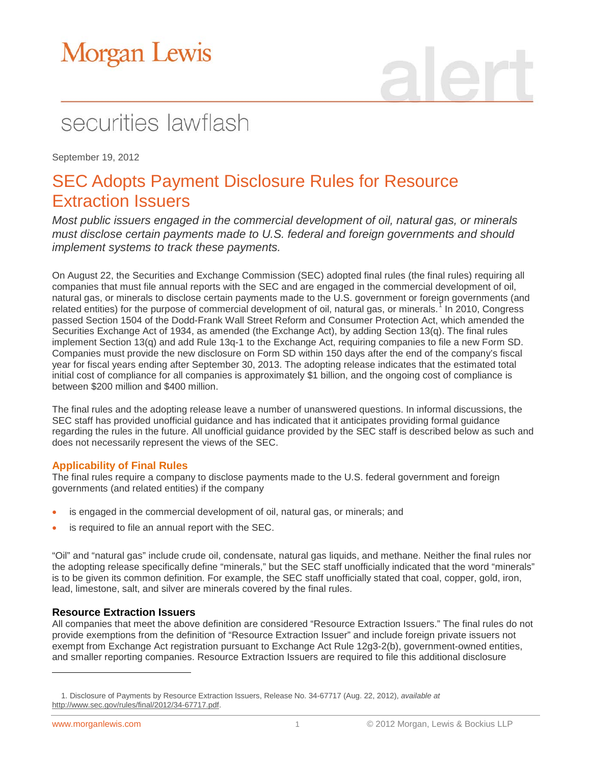## securities lawflash

September 19, 2012

### SEC Adopts Payment Disclosure Rules for Resource Extraction Issuers

*Most public issuers engaged in the commercial development of oil, natural gas, or minerals must disclose certain payments made to U.S. federal and foreign governments and should implement systems to track these payments.*

On August 22, the Securities and Exchange Commission (SEC) adopted final rules (the final rules) requiring all companies that must file annual reports with the SEC and are engaged in the commercial development of oil, natural gas, or minerals to disclose certain payments made to the U.S. government or foreign governments (and related entities) for the purpose of commercial development of oil, natural gas, or minerals.<sup>[1](#page-0-0)</sup> In 2010, Congress passed Section 1504 of the Dodd-Frank Wall Street Reform and Consumer Protection Act, which amended the Securities Exchange Act of 1934, as amended (the Exchange Act), by adding Section 13(q). The final rules implement Section 13(q) and add Rule 13q-1 to the Exchange Act, requiring companies to file a new Form SD. Companies must provide the new disclosure on Form SD within 150 days after the end of the company's fiscal year for fiscal years ending after September 30, 2013. The adopting release indicates that the estimated total initial cost of compliance for all companies is approximately \$1 billion, and the ongoing cost of compliance is between \$200 million and \$400 million.

The final rules and the adopting release leave a number of unanswered questions. In informal discussions, the SEC staff has provided unofficial guidance and has indicated that it anticipates providing formal guidance regarding the rules in the future. All unofficial guidance provided by the SEC staff is described below as such and does not necessarily represent the views of the SEC.

#### **Applicability of Final Rules**

The final rules require a company to disclose payments made to the U.S. federal government and foreign governments (and related entities) if the company

- is engaged in the commercial development of oil, natural gas, or minerals; and
- is required to file an annual report with the SEC.

"Oil" and "natural gas" include crude oil, condensate, natural gas liquids, and methane. Neither the final rules nor the adopting release specifically define "minerals," but the SEC staff unofficially indicated that the word "minerals" is to be given its common definition. For example, the SEC staff unofficially stated that coal, copper, gold, iron, lead, limestone, salt, and silver are minerals covered by the final rules.

#### **Resource Extraction Issuers**

All companies that meet the above definition are considered "Resource Extraction Issuers." The final rules do not provide exemptions from the definition of "Resource Extraction Issuer" and include foreign private issuers not exempt from Exchange Act registration pursuant to Exchange Act Rule 12g3-2(b), government-owned entities, and smaller reporting companies. Resource Extraction Issuers are required to file this additional disclosure

 $\overline{a}$ 

<span id="page-0-0"></span><sup>1.</sup> Disclosure of Payments by Resource Extraction Issuers, Release No. 34-67717 (Aug. 22, 2012), *available at* [http://www.sec.gov/rules/final/2012/34-67717.pdf.](http://www.sec.gov/rules/final/2012/34-67717.pdf)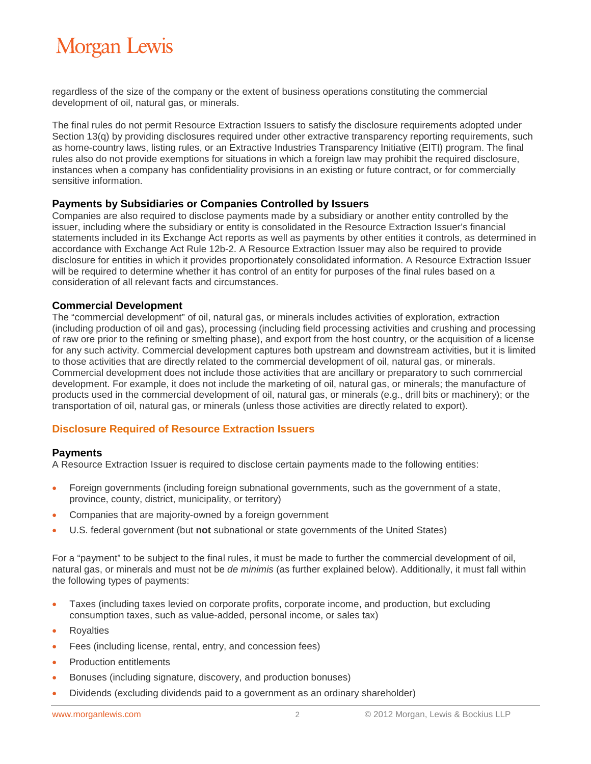regardless of the size of the company or the extent of business operations constituting the commercial development of oil, natural gas, or minerals.

The final rules do not permit Resource Extraction Issuers to satisfy the disclosure requirements adopted under Section 13(q) by providing disclosures required under other extractive transparency reporting requirements, such as home-country laws, listing rules, or an Extractive Industries Transparency Initiative (EITI) program. The final rules also do not provide exemptions for situations in which a foreign law may prohibit the required disclosure, instances when a company has confidentiality provisions in an existing or future contract, or for commercially sensitive information.

#### **Payments by Subsidiaries or Companies Controlled by Issuers**

Companies are also required to disclose payments made by a subsidiary or another entity controlled by the issuer, including where the subsidiary or entity is consolidated in the Resource Extraction Issuer's financial statements included in its Exchange Act reports as well as payments by other entities it controls, as determined in accordance with Exchange Act Rule 12b-2. A Resource Extraction Issuer may also be required to provide disclosure for entities in which it provides proportionately consolidated information. A Resource Extraction Issuer will be required to determine whether it has control of an entity for purposes of the final rules based on a consideration of all relevant facts and circumstances.

#### **Commercial Development**

The "commercial development" of oil, natural gas, or minerals includes activities of exploration, extraction (including production of oil and gas), processing (including field processing activities and crushing and processing of raw ore prior to the refining or smelting phase), and export from the host country, or the acquisition of a license for any such activity. Commercial development captures both upstream and downstream activities, but it is limited to those activities that are directly related to the commercial development of oil, natural gas, or minerals. Commercial development does not include those activities that are ancillary or preparatory to such commercial development. For example, it does not include the marketing of oil, natural gas, or minerals; the manufacture of products used in the commercial development of oil, natural gas, or minerals (e.g., drill bits or machinery); or the transportation of oil, natural gas, or minerals (unless those activities are directly related to export).

#### **Disclosure Required of Resource Extraction Issuers**

#### **Payments**

A Resource Extraction Issuer is required to disclose certain payments made to the following entities:

- Foreign governments (including foreign subnational governments, such as the government of a state, province, county, district, municipality, or territory)
- Companies that are majority-owned by a foreign government
- U.S. federal government (but **not** subnational or state governments of the United States)

For a "payment" to be subject to the final rules, it must be made to further the commercial development of oil, natural gas, or minerals and must not be *de minimis* (as further explained below). Additionally, it must fall within the following types of payments:

- Taxes (including taxes levied on corporate profits, corporate income, and production, but excluding consumption taxes, such as value-added, personal income, or sales tax)
- **Royalties**
- Fees (including license, rental, entry, and concession fees)
- Production entitlements
- Bonuses (including signature, discovery, and production bonuses)
- Dividends (excluding dividends paid to a government as an ordinary shareholder)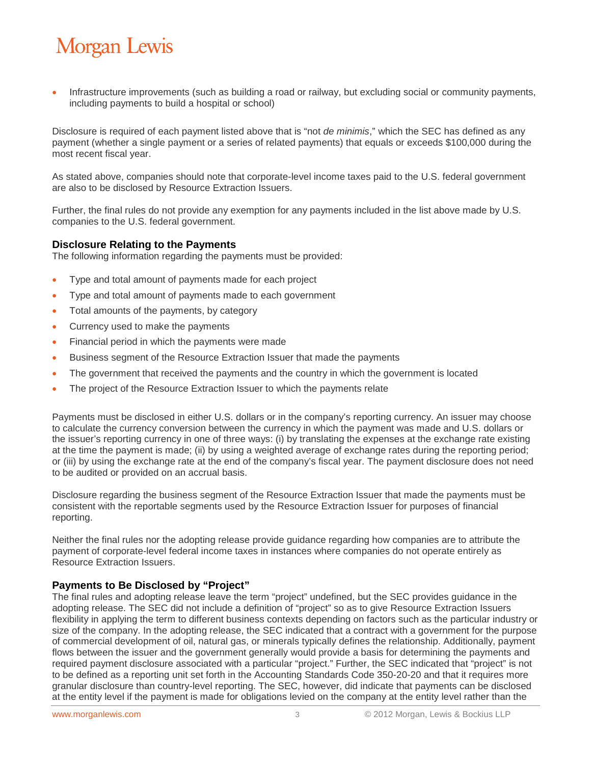• Infrastructure improvements (such as building a road or railway, but excluding social or community payments, including payments to build a hospital or school)

Disclosure is required of each payment listed above that is "not *de minimis*," which the SEC has defined as any payment (whether a single payment or a series of related payments) that equals or exceeds \$100,000 during the most recent fiscal year.

As stated above, companies should note that corporate-level income taxes paid to the U.S. federal government are also to be disclosed by Resource Extraction Issuers.

Further, the final rules do not provide any exemption for any payments included in the list above made by U.S. companies to the U.S. federal government.

#### **Disclosure Relating to the Payments**

The following information regarding the payments must be provided:

- Type and total amount of payments made for each project
- Type and total amount of payments made to each government
- Total amounts of the payments, by category
- Currency used to make the payments
- Financial period in which the payments were made
- Business segment of the Resource Extraction Issuer that made the payments
- The government that received the payments and the country in which the government is located
- The project of the Resource Extraction Issuer to which the payments relate

Payments must be disclosed in either U.S. dollars or in the company's reporting currency. An issuer may choose to calculate the currency conversion between the currency in which the payment was made and U.S. dollars or the issuer's reporting currency in one of three ways: (i) by translating the expenses at the exchange rate existing at the time the payment is made; (ii) by using a weighted average of exchange rates during the reporting period; or (iii) by using the exchange rate at the end of the company's fiscal year. The payment disclosure does not need to be audited or provided on an accrual basis.

Disclosure regarding the business segment of the Resource Extraction Issuer that made the payments must be consistent with the reportable segments used by the Resource Extraction Issuer for purposes of financial reporting.

Neither the final rules nor the adopting release provide guidance regarding how companies are to attribute the payment of corporate-level federal income taxes in instances where companies do not operate entirely as Resource Extraction Issuers.

#### **Payments to Be Disclosed by "Project"**

The final rules and adopting release leave the term "project" undefined, but the SEC provides guidance in the adopting release. The SEC did not include a definition of "project" so as to give Resource Extraction Issuers flexibility in applying the term to different business contexts depending on factors such as the particular industry or size of the company. In the adopting release, the SEC indicated that a contract with a government for the purpose of commercial development of oil, natural gas, or minerals typically defines the relationship. Additionally, payment flows between the issuer and the government generally would provide a basis for determining the payments and required payment disclosure associated with a particular "project." Further, the SEC indicated that "project" is not to be defined as a reporting unit set forth in the Accounting Standards Code 350-20-20 and that it requires more granular disclosure than country-level reporting. The SEC, however, did indicate that payments can be disclosed at the entity level if the payment is made for obligations levied on the company at the entity level rather than the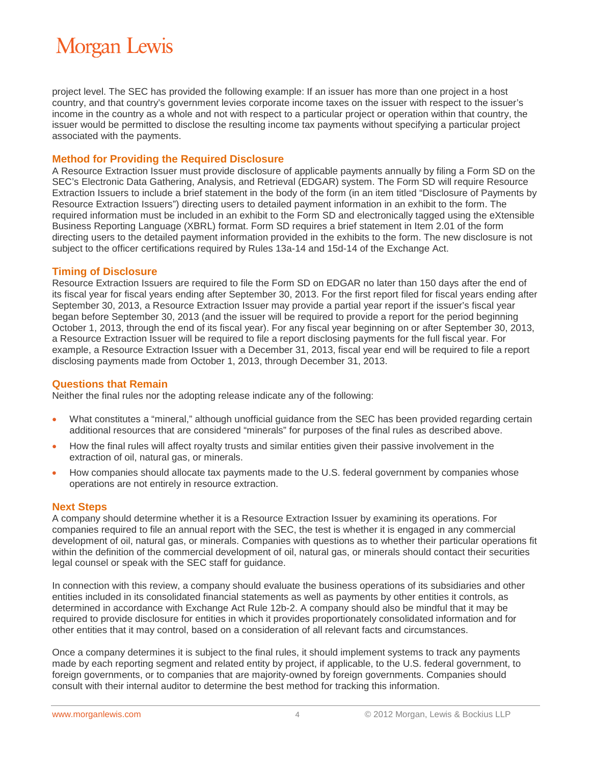project level. The SEC has provided the following example: If an issuer has more than one project in a host country, and that country's government levies corporate income taxes on the issuer with respect to the issuer's income in the country as a whole and not with respect to a particular project or operation within that country, the issuer would be permitted to disclose the resulting income tax payments without specifying a particular project associated with the payments.

#### **Method for Providing the Required Disclosure**

A Resource Extraction Issuer must provide disclosure of applicable payments annually by filing a Form SD on the SEC's Electronic Data Gathering, Analysis, and Retrieval (EDGAR) system. The Form SD will require Resource Extraction Issuers to include a brief statement in the body of the form (in an item titled "Disclosure of Payments by Resource Extraction Issuers") directing users to detailed payment information in an exhibit to the form. The required information must be included in an exhibit to the Form SD and electronically tagged using the eXtensible Business Reporting Language (XBRL) format. Form SD requires a brief statement in Item 2.01 of the form directing users to the detailed payment information provided in the exhibits to the form. The new disclosure is not subject to the officer certifications required by Rules 13a-14 and 15d-14 of the Exchange Act.

#### **Timing of Disclosure**

Resource Extraction Issuers are required to file the Form SD on EDGAR no later than 150 days after the end of its fiscal year for fiscal years ending after September 30, 2013. For the first report filed for fiscal years ending after September 30, 2013, a Resource Extraction Issuer may provide a partial year report if the issuer's fiscal year began before September 30, 2013 (and the issuer will be required to provide a report for the period beginning October 1, 2013, through the end of its fiscal year). For any fiscal year beginning on or after September 30, 2013, a Resource Extraction Issuer will be required to file a report disclosing payments for the full fiscal year. For example, a Resource Extraction Issuer with a December 31, 2013, fiscal year end will be required to file a report disclosing payments made from October 1, 2013, through December 31, 2013.

#### **Questions that Remain**

Neither the final rules nor the adopting release indicate any of the following:

- What constitutes a "mineral," although unofficial guidance from the SEC has been provided regarding certain additional resources that are considered "minerals" for purposes of the final rules as described above.
- How the final rules will affect royalty trusts and similar entities given their passive involvement in the extraction of oil, natural gas, or minerals.
- How companies should allocate tax payments made to the U.S. federal government by companies whose operations are not entirely in resource extraction.

#### **Next Steps**

A company should determine whether it is a Resource Extraction Issuer by examining its operations. For companies required to file an annual report with the SEC, the test is whether it is engaged in any commercial development of oil, natural gas, or minerals. Companies with questions as to whether their particular operations fit within the definition of the commercial development of oil, natural gas, or minerals should contact their securities legal counsel or speak with the SEC staff for guidance.

In connection with this review, a company should evaluate the business operations of its subsidiaries and other entities included in its consolidated financial statements as well as payments by other entities it controls, as determined in accordance with Exchange Act Rule 12b-2. A company should also be mindful that it may be required to provide disclosure for entities in which it provides proportionately consolidated information and for other entities that it may control, based on a consideration of all relevant facts and circumstances.

Once a company determines it is subject to the final rules, it should implement systems to track any payments made by each reporting segment and related entity by project, if applicable, to the U.S. federal government, to foreign governments, or to companies that are majority-owned by foreign governments. Companies should consult with their internal auditor to determine the best method for tracking this information.